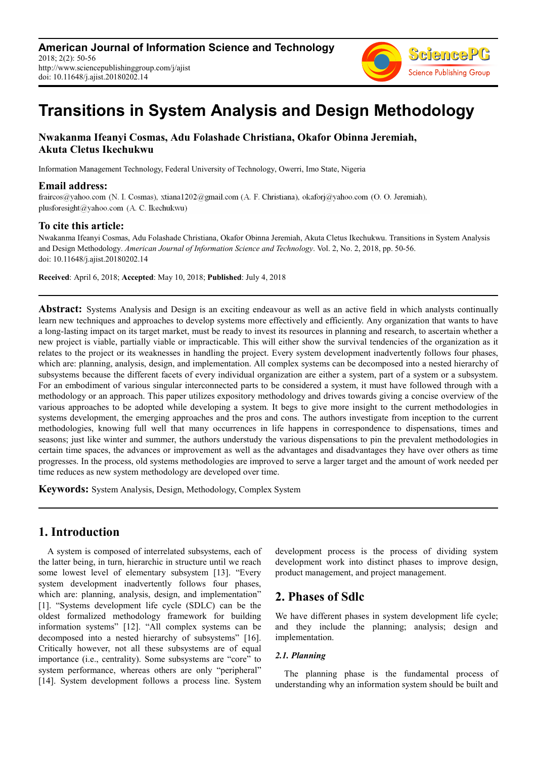

# **Transitions in System Analysis and Design Methodology**

# **Nwakanma Ifeanyi Cosmas, Adu Folashade Christiana, Okafor Obinna Jeremiah, Akuta Cletus Ikechukwu**

Information Management Technology, Federal University of Technology, Owerri, Imo State, Nigeria

## **Email address:**

fraircos@yahoo.com (N. I. Cosmas), xtiana1202@gmail.com (A. F. Christiana), okaforj@yahoo.com (O. O. Jeremiah), plusforesight@yahoo.com (A. C. Ikechukwu)

# **To cite this article:**

Nwakanma Ifeanyi Cosmas, Adu Folashade Christiana, Okafor Obinna Jeremiah, Akuta Cletus Ikechukwu. Transitions in System Analysis and Design Methodology. *American Journal of Information Science and Technology*. Vol. 2, No. 2, 2018, pp. 50-56. doi: 10.11648/j.ajist.20180202.14

**Received**: April 6, 2018; **Accepted**: May 10, 2018; **Published**: July 4, 2018

**Abstract:** Systems Analysis and Design is an exciting endeavour as well as an active field in which analysts continually learn new techniques and approaches to develop systems more effectively and efficiently. Any organization that wants to have a long-lasting impact on its target market, must be ready to invest its resources in planning and research, to ascertain whether a new project is viable, partially viable or impracticable. This will either show the survival tendencies of the organization as it relates to the project or its weaknesses in handling the project. Every system development inadvertently follows four phases, which are: planning, analysis, design, and implementation. All complex systems can be decomposed into a nested hierarchy of subsystems because the different facets of every individual organization are either a system, part of a system or a subsystem. For an embodiment of various singular interconnected parts to be considered a system, it must have followed through with a methodology or an approach. This paper utilizes expository methodology and drives towards giving a concise overview of the various approaches to be adopted while developing a system. It begs to give more insight to the current methodologies in systems development, the emerging approaches and the pros and cons. The authors investigate from inception to the current methodologies, knowing full well that many occurrences in life happens in correspondence to dispensations, times and seasons; just like winter and summer, the authors understudy the various dispensations to pin the prevalent methodologies in certain time spaces, the advances or improvement as well as the advantages and disadvantages they have over others as time progresses. In the process, old systems methodologies are improved to serve a larger target and the amount of work needed per time reduces as new system methodology are developed over time.

**Keywords:** System Analysis, Design, Methodology, Complex System

# **1. Introduction**

A system is composed of interrelated subsystems, each of the latter being, in turn, hierarchic in structure until we reach some lowest level of elementary subsystem [13]. "Every system development inadvertently follows four phases, which are: planning, analysis, design, and implementation" [1]. "Systems development life cycle (SDLC) can be the oldest formalized methodology framework for building information systems" [12]. "All complex systems can be decomposed into a nested hierarchy of subsystems" [16]. Critically however, not all these subsystems are of equal importance (i.e., centrality). Some subsystems are "core" to system performance, whereas others are only "peripheral" [14]. System development follows a process line. System development process is the process of dividing system development work into distinct phases to improve design, product management, and project management.

# **2. Phases of Sdlc**

We have different phases in system development life cycle; and they include the planning; analysis; design and implementation.

# *2.1. Planning*

The planning phase is the fundamental process of understanding why an information system should be built and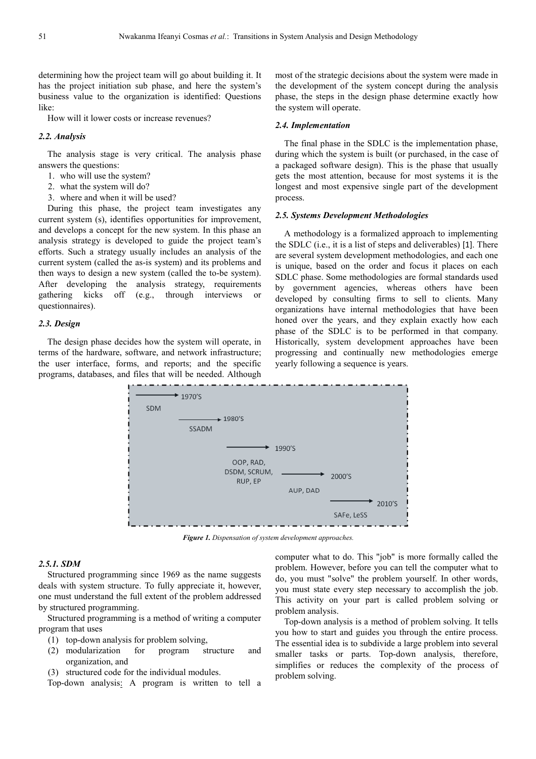determining how the project team will go about building it. It has the project initiation sub phase, and here the system's business value to the organization is identified: Questions like:

How will it lower costs or increase revenues?

### *2.2. Analysis*

The analysis stage is very critical. The analysis phase answers the questions:

- 1. who will use the system?
- 2. what the system will do?
- 3. where and when it will be used?

During this phase, the project team investigates any current system (s), identifies opportunities for improvement, and develops a concept for the new system. In this phase an analysis strategy is developed to guide the project team's efforts. Such a strategy usually includes an analysis of the current system (called the as-is system) and its problems and then ways to design a new system (called the to-be system). After developing the analysis strategy, requirements gathering kicks off (e.g., through interviews or questionnaires).

#### *2.3. Design*

The design phase decides how the system will operate, in terms of the hardware, software, and network infrastructure; the user interface, forms, and reports; and the specific programs, databases, and files that will be needed. Although most of the strategic decisions about the system were made in the development of the system concept during the analysis phase, the steps in the design phase determine exactly how the system will operate.

### *2.4. Implementation*

The final phase in the SDLC is the implementation phase, during which the system is built (or purchased, in the case of a packaged software design). This is the phase that usually gets the most attention, because for most systems it is the longest and most expensive single part of the development process.

#### *2.5. Systems Development Methodologies*

A methodology is a formalized approach to implementing the SDLC (i.e., it is a list of steps and deliverables) [1]. There are several system development methodologies, and each one is unique, based on the order and focus it places on each SDLC phase. Some methodologies are formal standards used by government agencies, whereas others have been developed by consulting firms to sell to clients. Many organizations have internal methodologies that have been honed over the years, and they explain exactly how each phase of the SDLC is to be performed in that company. Historically, system development approaches have been progressing and continually new methodologies emerge yearly following a sequence is years.



*Figure 1. Dispensation of system development approaches.* 

## *2.5.1. SDM*

Structured programming since 1969 as the name suggests deals with system structure. To fully appreciate it, however, one must understand the full extent of the problem addressed by structured programming.

Structured programming is a method of writing a computer program that uses

- (1) top-down analysis for problem solving,
- (2) modularization for program structure and organization, and
- (3) structured code for the individual modules.

Top-down analysis: A program is written to tell a

computer what to do. This "job" is more formally called the problem. However, before you can tell the computer what to do, you must "solve" the problem yourself. In other words, you must state every step necessary to accomplish the job. This activity on your part is called problem solving or problem analysis.

Top-down analysis is a method of problem solving. It tells you how to start and guides you through the entire process. The essential idea is to subdivide a large problem into several smaller tasks or parts. Top-down analysis, therefore, simplifies or reduces the complexity of the process of problem solving.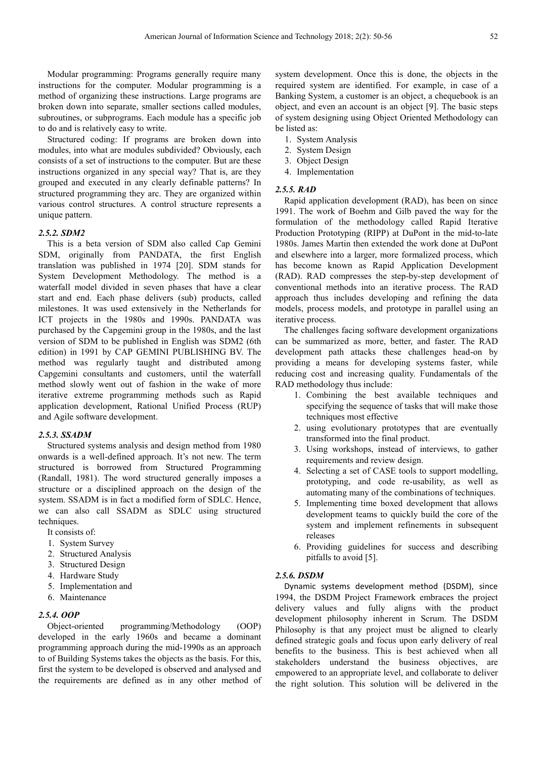Modular programming: Programs generally require many instructions for the computer. Modular programming is a method of organizing these instructions. Large programs are broken down into separate, smaller sections called modules, subroutines, or subprograms. Each module has a specific job to do and is relatively easy to write.

Structured coding: If programs are broken down into modules, into what are modules subdivided? Obviously, each consists of a set of instructions to the computer. But are these instructions organized in any special way? That is, are they grouped and executed in any clearly definable patterns? In structured programming they arc. They are organized within various control structures. A control structure represents a unique pattern.

## *2.5.2. SDM2*

This is a beta version of SDM also called Cap Gemini SDM, originally from PANDATA, the first English translation was published in 1974 [20]. SDM stands for System Development Methodology. The method is a waterfall model divided in seven phases that have a clear start and end. Each phase delivers (sub) products, called milestones. It was used extensively in the Netherlands for ICT projects in the 1980s and 1990s. PANDATA was purchased by the Capgemini group in the 1980s, and the last version of SDM to be published in English was SDM2 (6th edition) in 1991 by CAP GEMINI PUBLISHING BV. The method was regularly taught and distributed among Capgemini consultants and customers, until the waterfall method slowly went out of fashion in the wake of more iterative extreme programming methods such as Rapid application development, Rational Unified Process (RUP) and Agile software development.

#### *2.5.3. SSADM*

Structured systems analysis and design method from 1980 onwards is a well-defined approach. It's not new. The term structured is borrowed from Structured Programming (Randall, 1981). The word structured generally imposes a structure or a disciplined approach on the design of the system. SSADM is in fact a modified form of SDLC. Hence, we can also call SSADM as SDLC using structured techniques.

It consists of:

- 1. System Survey
- 2. Structured Analysis
- 3. Structured Design
- 4. Hardware Study
- 5. Implementation and
- 6. Maintenance

## *2.5.4. OOP*

Object-oriented programming/Methodology (OOP) developed in the early 1960s and became a dominant programming approach during the mid-1990s as an approach to of Building Systems takes the objects as the basis. For this, first the system to be developed is observed and analysed and the requirements are defined as in any other method of system development. Once this is done, the objects in the required system are identified. For example, in case of a Banking System, a customer is an object, a chequebook is an object, and even an account is an object [9]. The basic steps of system designing using Object Oriented Methodology can be listed as:

- 1. System Analysis
- 2. System Design
- 3. Object Design
- 4. Implementation

#### *2.5.5. RAD*

Rapid application development (RAD), has been on since 1991. The work of Boehm and Gilb paved the way for the formulation of the methodology called Rapid Iterative Production Prototyping (RIPP) at DuPont in the mid-to-late 1980s. James Martin then extended the work done at DuPont and elsewhere into a larger, more formalized process, which has become known as Rapid Application Development (RAD). RAD compresses the step-by-step development of conventional methods into an iterative process. The RAD approach thus includes developing and refining the data models, process models, and prototype in parallel using an iterative process.

The challenges facing software development organizations can be summarized as more, better, and faster. The RAD development path attacks these challenges head-on by providing a means for developing systems faster, while reducing cost and increasing quality. Fundamentals of the RAD methodology thus include:

- 1. Combining the best available techniques and specifying the sequence of tasks that will make those techniques most effective
- 2. using evolutionary prototypes that are eventually transformed into the final product.
- 3. Using workshops, instead of interviews, to gather requirements and review design.
- 4. Selecting a set of CASE tools to support modelling, prototyping, and code re-usability, as well as automating many of the combinations of techniques.
- 5. Implementing time boxed development that allows development teams to quickly build the core of the system and implement refinements in subsequent releases
- 6. Providing guidelines for success and describing pitfalls to avoid [5].

## *2.5.6. DSDM*

Dynamic systems development method (DSDM), since 1994, the DSDM Project Framework embraces the project delivery values and fully aligns with the product development philosophy inherent in Scrum. The DSDM Philosophy is that any project must be aligned to clearly defined strategic goals and focus upon early delivery of real benefits to the business. This is best achieved when all stakeholders understand the business objectives, are empowered to an appropriate level, and collaborate to deliver the right solution. This solution will be delivered in the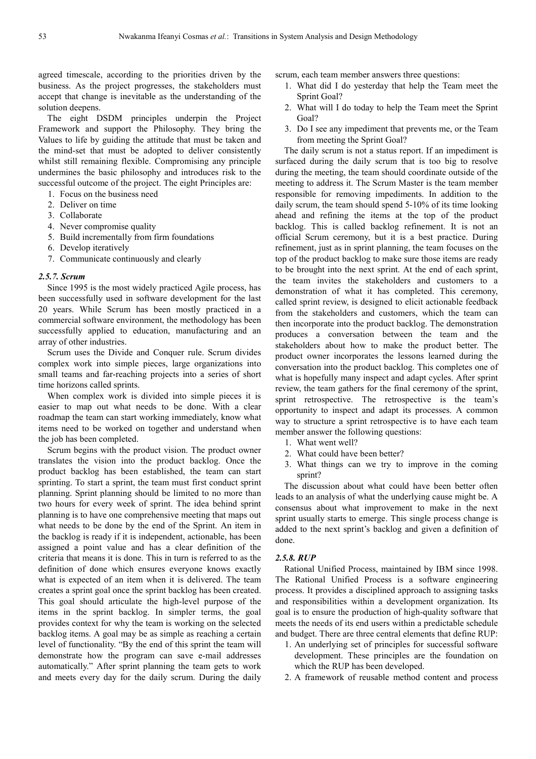agreed timescale, according to the priorities driven by the business. As the project progresses, the stakeholders must accept that change is inevitable as the understanding of the solution deepens.

The eight DSDM principles underpin the Project Framework and support the Philosophy. They bring the Values to life by guiding the attitude that must be taken and the mind-set that must be adopted to deliver consistently whilst still remaining flexible. Compromising any principle undermines the basic philosophy and introduces risk to the successful outcome of the project. The eight Principles are:

- 1. Focus on the business need
- 2. Deliver on time
- 3. Collaborate
- 4. Never compromise quality
- 5. Build incrementally from firm foundations
- 6. Develop iteratively
- 7. Communicate continuously and clearly

#### *2.5.7. Scrum*

Since 1995 is the most widely practiced Agile process, has been successfully used in software development for the last 20 years. While Scrum has been mostly practiced in a commercial software environment, the methodology has been successfully applied to education, manufacturing and an array of other industries.

Scrum uses the Divide and Conquer rule. Scrum divides complex work into simple pieces, large organizations into small teams and far-reaching projects into a series of short time horizons called sprints.

When complex work is divided into simple pieces it is easier to map out what needs to be done. With a clear roadmap the team can start working immediately, know what items need to be worked on together and understand when the job has been completed.

Scrum begins with the product vision. The product owner translates the vision into the product backlog. Once the product backlog has been established, the team can start sprinting. To start a sprint, the team must first conduct sprint planning. Sprint planning should be limited to no more than two hours for every week of sprint. The idea behind sprint planning is to have one comprehensive meeting that maps out what needs to be done by the end of the Sprint. An item in the backlog is ready if it is independent, actionable, has been assigned a point value and has a clear definition of the criteria that means it is done. This in turn is referred to as the definition of done which ensures everyone knows exactly what is expected of an item when it is delivered. The team creates a sprint goal once the sprint backlog has been created. This goal should articulate the high-level purpose of the items in the sprint backlog. In simpler terms, the goal provides context for why the team is working on the selected backlog items. A goal may be as simple as reaching a certain level of functionality. "By the end of this sprint the team will demonstrate how the program can save e-mail addresses automatically." After sprint planning the team gets to work and meets every day for the daily scrum. During the daily scrum, each team member answers three questions:

- 1. What did I do yesterday that help the Team meet the Sprint Goal?
- 2. What will I do today to help the Team meet the Sprint Goal?
- 3. Do I see any impediment that prevents me, or the Team from meeting the Sprint Goal?

The daily scrum is not a status report. If an impediment is surfaced during the daily scrum that is too big to resolve during the meeting, the team should coordinate outside of the meeting to address it. The Scrum Master is the team member responsible for removing impediments. In addition to the daily scrum, the team should spend 5-10% of its time looking ahead and refining the items at the top of the product backlog. This is called backlog refinement. It is not an official Scrum ceremony, but it is a best practice. During refinement, just as in sprint planning, the team focuses on the top of the product backlog to make sure those items are ready to be brought into the next sprint. At the end of each sprint, the team invites the stakeholders and customers to a demonstration of what it has completed. This ceremony, called sprint review, is designed to elicit actionable feedback from the stakeholders and customers, which the team can then incorporate into the product backlog. The demonstration produces a conversation between the team and the stakeholders about how to make the product better. The product owner incorporates the lessons learned during the conversation into the product backlog. This completes one of what is hopefully many inspect and adapt cycles. After sprint review, the team gathers for the final ceremony of the sprint, sprint retrospective. The retrospective is the team's opportunity to inspect and adapt its processes. A common way to structure a sprint retrospective is to have each team member answer the following questions:

- 1. What went well?
- 2. What could have been better?
- 3. What things can we try to improve in the coming sprint?

The discussion about what could have been better often leads to an analysis of what the underlying cause might be. A consensus about what improvement to make in the next sprint usually starts to emerge. This single process change is added to the next sprint's backlog and given a definition of done.

# *2.5.8. RUP*

Rational Unified Process, maintained by IBM since 1998. The Rational Unified Process is a software engineering process. It provides a disciplined approach to assigning tasks and responsibilities within a development organization. Its goal is to ensure the production of high-quality software that meets the needs of its end users within a predictable schedule and budget. There are three central elements that define RUP:

- 1. An underlying set of principles for successful software development. These principles are the foundation on which the RUP has been developed.
- 2. A framework of reusable method content and process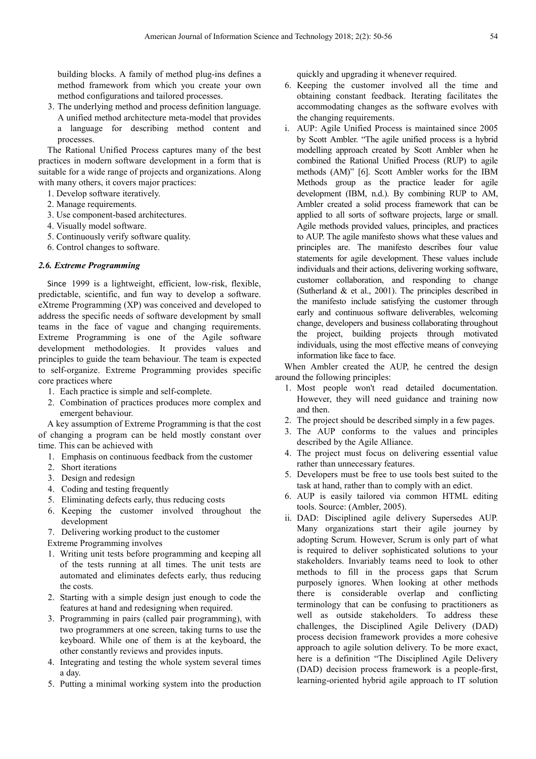building blocks. A family of method plug-ins defines a method framework from which you create your own method configurations and tailored processes.

3. The underlying method and process definition language. A unified method architecture meta-model that provides a language for describing method content and processes.

The Rational Unified Process captures many of the best practices in modern software development in a form that is suitable for a wide range of projects and organizations. Along with many others, it covers major practices:

- 1. Develop software iteratively.
- 2. Manage requirements.
- 3. Use component-based architectures.
- 4. Visually model software.
- 5. Continuously verify software quality.
- 6. Control changes to software.

# *2.6. Extreme Programming*

Since 1999 is a lightweight, efficient, low-risk, flexible, predictable, scientific, and fun way to develop a software. eXtreme Programming (XP) was conceived and developed to address the specific needs of software development by small teams in the face of vague and changing requirements. Extreme Programming is one of the Agile software development methodologies. It provides values and principles to guide the team behaviour. The team is expected to self-organize. Extreme Programming provides specific core practices where

- 1. Each practice is simple and self-complete.
- 2. Combination of practices produces more complex and emergent behaviour.

A key assumption of Extreme Programming is that the cost of changing a program can be held mostly constant over time. This can be achieved with

- 1. Emphasis on continuous feedback from the customer
- 2. Short iterations
- 3. Design and redesign
- 4. Coding and testing frequently
- 5. Eliminating defects early, thus reducing costs
- 6. Keeping the customer involved throughout the development
- 7. Delivering working product to the customer

Extreme Programming involves

- 1. Writing unit tests before programming and keeping all of the tests running at all times. The unit tests are automated and eliminates defects early, thus reducing the costs.
- 2. Starting with a simple design just enough to code the features at hand and redesigning when required.
- 3. Programming in pairs (called pair programming), with two programmers at one screen, taking turns to use the keyboard. While one of them is at the keyboard, the other constantly reviews and provides inputs.
- 4. Integrating and testing the whole system several times a day.
- 5. Putting a minimal working system into the production

quickly and upgrading it whenever required.

- 6. Keeping the customer involved all the time and obtaining constant feedback. Iterating facilitates the accommodating changes as the software evolves with the changing requirements.
- i. AUP: Agile Unified Process is maintained since 2005 by Scott Ambler. "The agile unified process is a hybrid modelling approach created by Scott Ambler when he combined the Rational Unified Process (RUP) to agile methods (AM)" [6]. Scott Ambler works for the IBM Methods group as the practice leader for agile development (IBM, n.d.). By combining RUP to AM, Ambler created a solid process framework that can be applied to all sorts of software projects, large or small. Agile methods provided values, principles, and practices to AUP. The agile manifesto shows what these values and principles are. The manifesto describes four value statements for agile development. These values include individuals and their actions, delivering working software, customer collaboration, and responding to change (Sutherland & et al., 2001). The principles described in the manifesto include satisfying the customer through early and continuous software deliverables, welcoming change, developers and business collaborating throughout the project, building projects through motivated individuals, using the most effective means of conveying information like face to face.

When Ambler created the AUP, he centred the design around the following principles:

- 1. Most people won't read detailed documentation. However, they will need guidance and training now and then.
- 2. The project should be described simply in a few pages.
- 3. The AUP conforms to the values and principles described by the Agile Alliance.
- 4. The project must focus on delivering essential value rather than unnecessary features.
- 5. Developers must be free to use tools best suited to the task at hand, rather than to comply with an edict.
- 6. AUP is easily tailored via common HTML editing tools. Source: (Ambler, 2005).
- ii. DAD: Disciplined agile delivery Supersedes AUP. Many organizations start their agile journey by adopting Scrum. However, Scrum is only part of what is required to deliver sophisticated solutions to your stakeholders. Invariably teams need to look to other methods to fill in the process gaps that Scrum purposely ignores. When looking at other methods there is considerable overlap and conflicting terminology that can be confusing to practitioners as well as outside stakeholders. To address these challenges, the Disciplined Agile Delivery (DAD) process decision framework provides a more cohesive approach to agile solution delivery. To be more exact, here is a definition "The Disciplined Agile Delivery (DAD) decision process framework is a people-first, learning-oriented hybrid agile approach to IT solution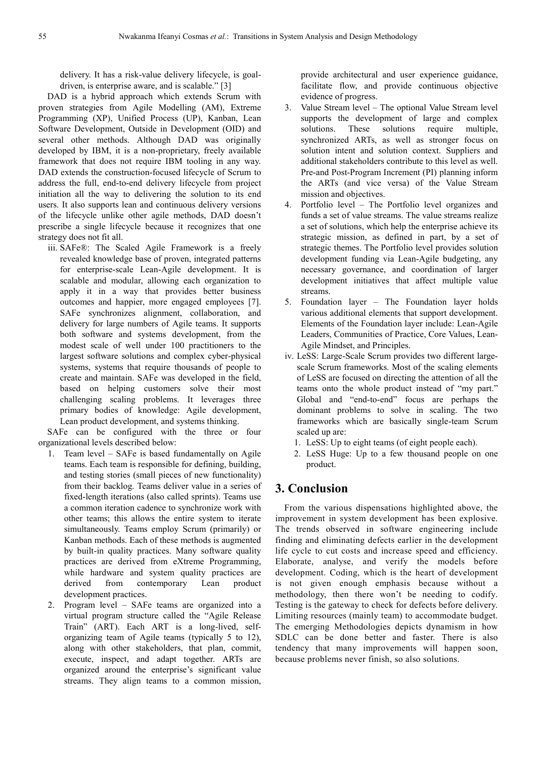delivery. It has a risk-value delivery lifecycle, is goaldriven, is enterprise aware, and is scalable." [3]

DAD is a hybrid approach which extends Scrum with proven strategies from Agile Modelling (AM), Extreme Programming (XP), Unified Process (UP), Kanban, Lean Software Development, Outside in Development (OID) and several other methods. Although DAD was originally developed by IBM, it is a non-proprietary, freely available framework that does not require IBM tooling in any way. DAD extends the construction-focused lifecycle of Scrum to address the full, end-to-end delivery lifecycle from project initiation all the way to delivering the solution to its end users. It also supports lean and continuous delivery versions of the lifecycle unlike other agile methods, DAD doesn't prescribe a single lifecycle because it recognizes that one strategy does not fit all.

iii. SAFe®: The Scaled Agile Framework is a freely revealed knowledge base of proven, integrated patterns for enterprise-scale Lean-Agile development. It is scalable and modular, allowing each organization to apply it in a way that provides better business outcomes and happier, more engaged employees [7]. SAFe synchronizes alignment, collaboration, and delivery for large numbers of Agile teams. It supports both software and systems development, from the modest scale of well under 100 practitioners to the largest software solutions and complex cyber-physical systems, systems that require thousands of people to create and maintain. SAFe was developed in the field, based on helping customers solve their most challenging scaling problems. It leverages three primary bodies of knowledge: Agile development, Lean product development, and systems thinking.

SAFe can be configured with the three or four organizational levels described below:

- 1. Team level SAFe is based fundamentally on Agile teams. Each team is responsible for defining, building, and testing stories (small pieces of new functionality) from their backlog. Teams deliver value in a series of fixed-length iterations (also called sprints). Teams use a common iteration cadence to synchronize work with other teams; this allows the entire system to iterate simultaneously. Teams employ Scrum (primarily) or Kanban methods. Each of these methods is augmented by built-in quality practices. Many software quality practices are derived from eXtreme Programming, while hardware and system quality practices are derived from contemporary Lean product development practices.
- 2. Program level SAFe teams are organized into a virtual program structure called the "Agile Release Train" (ART). Each ART is a long-lived, selforganizing team of Agile teams (typically 5 to 12), along with other stakeholders, that plan, commit, execute, inspect, and adapt together. ARTs are organized around the enterprise's significant value streams. They align teams to a common mission,

provide architectural and user experience guidance, facilitate flow, and provide continuous objective evidence of progress.

- 3. Value Stream level The optional Value Stream level supports the development of large and complex solutions. These solutions require multiple, synchronized ARTs, as well as stronger focus on solution intent and solution context. Suppliers and additional stakeholders contribute to this level as well. Pre-and Post-Program Increment (PI) planning inform the ARTs (and vice versa) of the Value Stream mission and objectives.
- 4. Portfolio level The Portfolio level organizes and funds a set of value streams. The value streams realize a set of solutions, which help the enterprise achieve its strategic mission, as defined in part, by a set of strategic themes. The Portfolio level provides solution development funding via Lean-Agile budgeting, any necessary governance, and coordination of larger development initiatives that affect multiple value streams.
- 5. Foundation layer The Foundation layer holds various additional elements that support development. Elements of the Foundation layer include: Lean-Agile Leaders, Communities of Practice, Core Values, Lean-Agile Mindset, and Principles.
- iv. LeSS: Large-Scale Scrum provides two different largescale Scrum frameworks. Most of the scaling elements of LeSS are focused on directing the attention of all the teams onto the whole product instead of "my part." Global and "end-to-end" focus are perhaps the dominant problems to solve in scaling. The two frameworks which are basically single-team Scrum scaled up are:
	- 1. LeSS: Up to eight teams (of eight people each).
	- 2. LeSS Huge: Up to a few thousand people on one product.

# **3. Conclusion**

From the various dispensations highlighted above, the improvement in system development has been explosive. The trends observed in software engineering include finding and eliminating defects earlier in the development life cycle to cut costs and increase speed and efficiency. Elaborate, analyse, and verify the models before development. Coding, which is the heart of development is not given enough emphasis because without a methodology, then there won't be needing to codify. Testing is the gateway to check for defects before delivery. Limiting resources (mainly team) to accommodate budget. The emerging Methodologies depicts dynamism in how SDLC can be done better and faster. There is also tendency that many improvements will happen soon, because problems never finish, so also solutions.